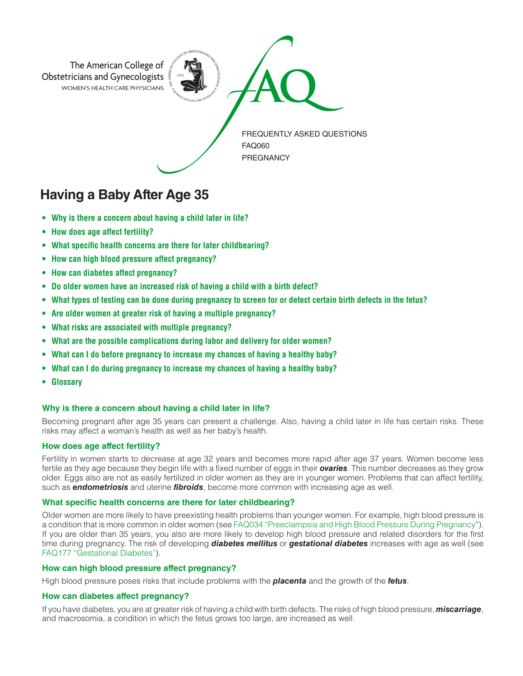

# **Having a Baby After Age 35**

- **• Why is there a concern about having a child later in life?**
- **• How does age affect fertility?**
- **• What specific health concerns are there for later childbearing?**
- **• How can high blood pressure affect pregnancy?**
- **• How can diabetes affect pregnancy?**
- **• Do older women have an increased risk of having a child with a birth defect?**
- **• What types of testing can be done during pregnancy to screen for or detect certain birth defects in the fetus?**
- **• Are older women at greater risk of having a multiple pregnancy?**
- **• What risks are associated with multiple pregnancy?**
- **• What are the possible complications during labor and delivery for older women?**
- **• What can I do before pregnancy to increase my chances of having a healthy baby?**
- **• What can I do during pregnancy to increase my chances of having a healthy baby?**
- **• Glossary**

# **Why is there a concern about having a child later in life?**

Becoming pregnant after age 35 years can present a challenge. Also, having a child later in life has certain risks. These risks may affect a woman's health as well as her baby's health.

# **How does age affect fertility?**

Fertility in women starts to decrease at age 32 years and becomes more rapid after age 37 years. Women become less fertile as they age because they begin life with a fixed number of eggs in their *ovaries*. This number decreases as they grow older. Eggs also are not as easily fertilized in older women as they are in younger women. Problems that can affect fertility, such as *endometriosis* and uterine *fibroids*, become more common with increasing age as well.

# **What specific health concerns are there for later childbearing?**

Older women are more likely to have preexisting health problems than younger women. For example, high blood pressure is a condition that is more common in older women (see FAQ034 "Preeclampsia and High Blood Pressure During Pregnancy"). If you are older than 35 years, you also are more likely to develop high blood pressure and related disorders for the first time during pregnancy. The risk of developing *diabetes mellitus* or *gestational diabetes* increases with age as well (see FAQ177 "Gestational Diabetes").

# **How can high blood pressure affect pregnancy?**

High blood pressure poses risks that include problems with the *placenta* and the growth of the *fetus*.

# **How can diabetes affect pregnancy?**

If you have diabetes, you are at greater risk of having a child with birth defects. The risks of high blood pressure, *miscarriage*, and macrosomia, a condition in which the fetus grows too large, are increased as well.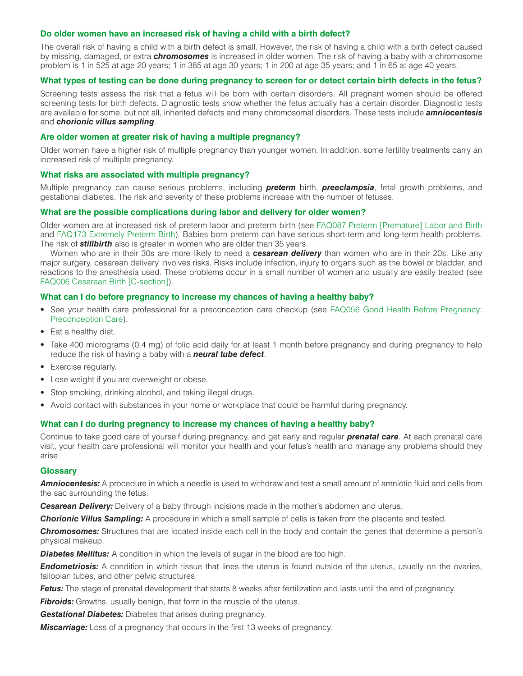## **Do older women have an increased risk of having a child with a birth defect?**

The overall risk of having a child with a birth defect is small. However, the risk of having a child with a birth defect caused by missing, damaged, or extra *chromosomes* is increased in older women. The risk of having a baby with a chromosome problem is 1 in 525 at age 20 years; 1 in 385 at age 30 years; 1 in 200 at age 35 years; and 1 in 65 at age 40 years.

## **What types of testing can be done during pregnancy to screen for or detect certain birth defects in the fetus?**

Screening tests assess the risk that a fetus will be born with certain disorders. All pregnant women should be offered screening tests for birth defects. Diagnostic tests show whether the fetus actually has a certain disorder. Diagnostic tests are available for some, but not all, inherited defects and many chromosomal disorders. These tests include *amniocentesis* and *chorionic villus sampling*.

## **Are older women at greater risk of having a multiple pregnancy?**

Older women have a higher risk of multiple pregnancy than younger women. In addition, some fertility treatments carry an increased risk of multiple pregnancy.

## **What risks are associated with multiple pregnancy?**

Multiple pregnancy can cause serious problems, including *preterm* birth, *preeclampsia*, fetal growth problems, and gestational diabetes. The risk and severity of these problems increase with the number of fetuses.

## **What are the possible complications during labor and delivery for older women?**

Older women are at increased risk of preterm labor and preterm birth (see FAQ087 Preterm [Premature] Labor and Birth and FAQ173 Extremely Preterm Birth). Babies born preterm can have serious short-term and long-term health problems. The risk of *stillbirth* also is greater in women who are older than 35 years.

Women who are in their 30s are more likely to need a *cesarean delivery* than women who are in their 20s. Like any major surgery, cesarean delivery involves risks. Risks include infection, injury to organs such as the bowel or bladder, and reactions to the anesthesia used. These problems occur in a small number of women and usually are easily treated (see FAQ006 Cesarean Birth [C-section]).

## **What can I do before pregnancy to increase my chances of having a healthy baby?**

- See your health care professional for a preconception care checkup (see FAQ056 Good Health Before Pregnancy: Preconception Care).
- Eat a healthy diet.
- Take 400 micrograms (0.4 mg) of folic acid daily for at least 1 month before pregnancy and during pregnancy to help reduce the risk of having a baby with a *neural tube defect*.
- Exercise regularly.
- Lose weight if you are overweight or obese.
- Stop smoking, drinking alcohol, and taking illegal drugs.
- Avoid contact with substances in your home or workplace that could be harmful during pregnancy.

## **What can I do during pregnancy to increase my chances of having a healthy baby?**

Continue to take good care of yourself during pregnancy, and get early and regular *prenatal care*. At each prenatal care visit, your health care professional will monitor your health and your fetus's health and manage any problems should they arise.

## **Glossary**

*Amniocentesis:* A procedure in which a needle is used to withdraw and test a small amount of amniotic fluid and cells from the sac surrounding the fetus.

*Cesarean Delivery:* Delivery of a baby through incisions made in the mother's abdomen and uterus.

*Chorionic Villus Sampling:* A procedure in which a small sample of cells is taken from the placenta and tested.

*Chromosomes:* Structures that are located inside each cell in the body and contain the genes that determine a person's physical makeup.

**Diabetes Mellitus:** A condition in which the levels of sugar in the blood are too high.

*Endometriosis:* A condition in which tissue that lines the uterus is found outside of the uterus, usually on the ovaries, fallopian tubes, and other pelvic structures.

**Fetus:** The stage of prenatal development that starts 8 weeks after fertilization and lasts until the end of pregnancy.

**Fibroids:** Growths, usually benign, that form in the muscle of the uterus.

*Gestational Diabetes:* Diabetes that arises during pregnancy.

*Miscarriage:* Loss of a pregnancy that occurs in the first 13 weeks of pregnancy.